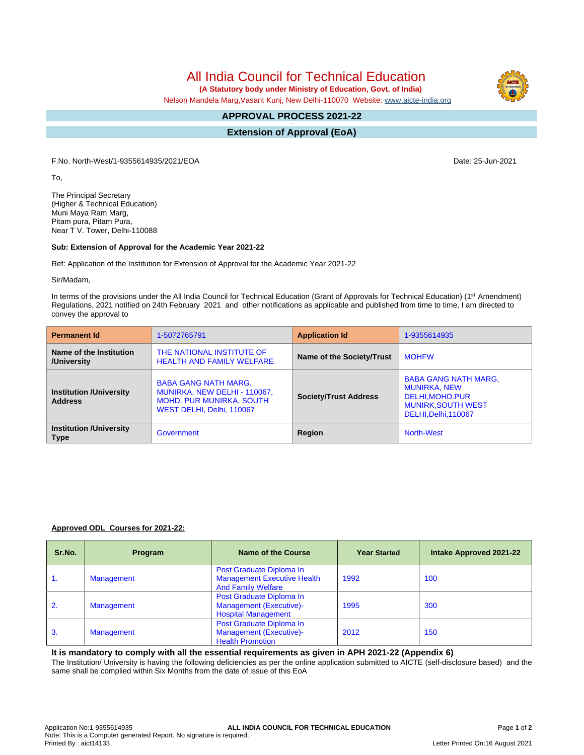# All India Council for Technical Education

 **(A Statutory body under Ministry of Education, Govt. of India)**

Nelson Mandela Marg,Vasant Kunj, New Delhi-110070 Website: [www.aicte-india.org](http://www.aicte-india.org)

#### **APPROVAL PROCESS 2021-22 -**

**Extension of Approval (EoA)**

F.No. North-West/1-9355614935/2021/EOA Date: 25-Jun-2021

To,

The Principal Secretary (Higher & Technical Education) Muni Maya Ram Marg, Pitam pura, Pitam Pura, Near T V. Tower, Delhi-110088

#### **Sub: Extension of Approval for the Academic Year 2021-22**

Ref: Application of the Institution for Extension of Approval for the Academic Year 2021-22

Sir/Madam,

In terms of the provisions under the All India Council for Technical Education (Grant of Approvals for Technical Education) (1<sup>st</sup> Amendment) Regulations, 2021 notified on 24th February 2021 and other notifications as applicable and published from time to time, I am directed to convey the approval to

| <b>Permanent Id</b>                              | 1-5072765791                                                                                                                | <b>Application Id</b>        | 1-9355614935                                                                                                                |
|--------------------------------------------------|-----------------------------------------------------------------------------------------------------------------------------|------------------------------|-----------------------------------------------------------------------------------------------------------------------------|
| Name of the Institution<br>/University           | THE NATIONAL INSTITUTE OF<br><b>HEALTH AND FAMILY WELFARE</b>                                                               | Name of the Society/Trust    | <b>MOHFW</b>                                                                                                                |
| <b>Institution /University</b><br><b>Address</b> | <b>BABA GANG NATH MARG,</b><br>MUNIRKA, NEW DELHI - 110067,<br><b>MOHD. PUR MUNIRKA, SOUTH</b><br>WEST DELHI, Delhi, 110067 | <b>Society/Trust Address</b> | <b>BABA GANG NATH MARG,</b><br><b>MUNIRKA, NEW</b><br>DELHI, MOHD. PUR<br><b>MUNIRK, SOUTH WEST</b><br>DELHI, Delhi, 110067 |
| <b>Institution /University</b><br><b>Type</b>    | Government                                                                                                                  | Region                       | North-West                                                                                                                  |

#### **Approved ODL Courses for 2021-22:**

| Sr.No. | <b>Program</b> | Name of the Course                                                                          | <b>Year Started</b> | Intake Approved 2021-22 |
|--------|----------------|---------------------------------------------------------------------------------------------|---------------------|-------------------------|
| 1.     | Management     | Post Graduate Diploma In<br><b>Management Executive Health</b><br><b>And Family Welfare</b> | 1992                | 100                     |
| 2.     | Management     | Post Graduate Diploma In<br>Management (Executive)-<br><b>Hospital Management</b>           | 1995                | 300                     |
| 3.     | Management     | Post Graduate Diploma In<br>Management (Executive)-<br><b>Health Promotion</b>              | 2012                | 150                     |

#### **It is mandatory to comply with all the essential requirements as given in APH 2021-22 (Appendix 6)**

The Institution/ University is having the following deficiencies as per the online application submitted to AICTE (self-disclosure based) and the same shall be complied within Six Months from the date of issue of this EoA